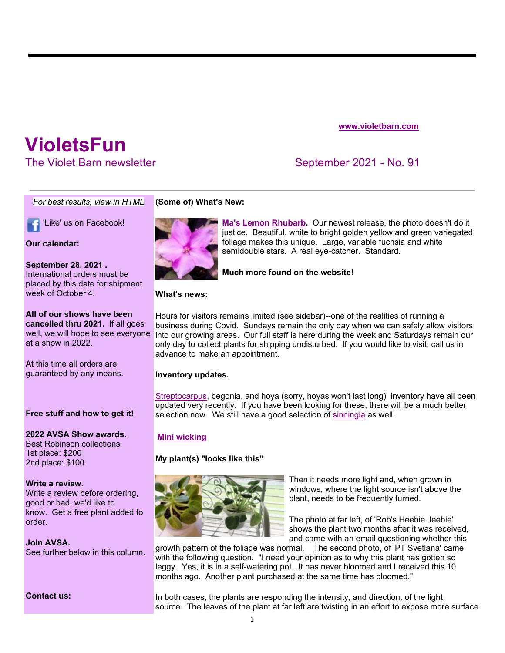### **www.violetbarn.com**

# **VioletsFun**

The Violet Barn newsletter September 2021 - No. 91

*For best results, view in HTML*

'Like' us on Facebook!

**Our calendar:**

**September 28, 2021 .**  International orders must be placed by this date for shipment week of October 4.

**All of our shows have been cancelled thru 2021.** If all goes well, we will hope to see everyone at a show in 2022.

At this time all orders are guaranteed by any means.

# **Free stuff and how to get it!**

**2022 AVSA Show awards.**  Best Robinson collections 1st place: \$200 2nd place: \$100

#### **Write a review.**

Write a review before ordering, good or bad, we'd like to know. Get a free plant added to order.

# **Join AVSA.**

See further below in this column.

**Contact us:**

# **(Some of) What's New:**



**Ma's Lemon Rhubarb.** Our newest release, the photo doesn't do it justice. Beautiful, white to bright golden yellow and green variegated foliage makes this unique. Large, variable fuchsia and white semidouble stars. A real eye-catcher. Standard.

**Much more found on the website!**

### **What's news:**

Hours for visitors remains limited (see sidebar)--one of the realities of running a business during Covid. Sundays remain the only day when we can safely allow visitors into our growing areas. Our full staff is here during the week and Saturdays remain our only day to collect plants for shipping undisturbed. If you would like to visit, call us in advance to make an appointment.

# **Inventory updates.**

Streptocarpus, begonia, and hoya (sorry, hoyas won't last long) inventory have all been updated very recently. If you have been looking for these, there will be a much better selection now. We still have a good selection of sinningia as well.

# **Mini wicking**

# **My plant(s) "looks like this"**



Then it needs more light and, when grown in windows, where the light source isn't above the plant, needs to be frequently turned.

The photo at far left, of 'Rob's Heebie Jeebie' shows the plant two months after it was received, and came with an email questioning whether this

growth pattern of the foliage was normal. The second photo, of 'PT Svetlana' came with the following question. "I need your opinion as to why this plant has gotten so leggy. Yes, it is in a self-watering pot. It has never bloomed and I received this 10 months ago. Another plant purchased at the same time has bloomed."

In both cases, the plants are responding the intensity, and direction, of the light source. The leaves of the plant at far left are twisting in an effort to expose more surface